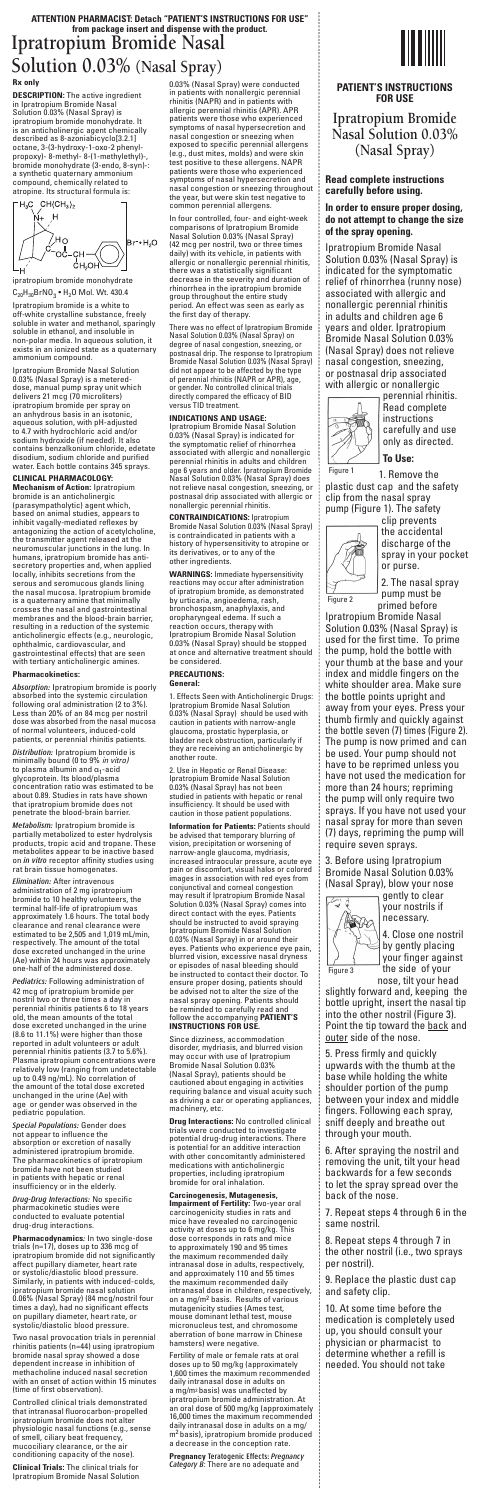# **ATTENTION PHARMACIST: Detach "PATIENT'S INSTRUCTIONS FOR USE" from package insert and dispense with the product. Ipratropium Bromide Nasal Solution 0.03% (Nasal Spray)**

**DESCRIPTION:** The active ingredient<br>in Ipratropium Bromide Nasal<br>Solution 0.03% (Nasal Spray) is<br>ipratropium bromide monohydrate. It is an anticholinergic agent chemically described as 8-azoniabicyclo[3.2.1] octane, 3-(3-hydroxy-1-oxo-2 phenyl-propoxy)- 8-methyl- 8-(1-methylethyl)-, bromide monohydrate (3-endo, 8-syn)-: a synthetic quaternary ammonium compound, chemically related to atropine. Its structural formula is:

**Rx only**



 $C_{20}H_{30}BrNO_3 \bullet H_2O$  Mol. Wt. 430.4 Ipratropium bromide is a white to off-white crystalline substance, freely soluble in water and methanol, sparingly soluble in ethanol, and insoluble in non-polar media. In aqueous solution, it exists in an ionized state as a quaternary ammonium compound.

Ipratropium Bromide Nasal Solution 0.03% (Nasal Spray) is a metered-dose, manual pump spray unit which delivers 21 mcg (70 microliters) ipratropium bromide per spray on an anhydrous basis in an isotonic, aqueous solution, with pH-adjusted to 4.7 with hydrochloric acid and/or sodium hydroxide (if needed). It also contains benzalkonium chloride, edetate disodium, sodium chloride and purified water. Each bottle contains 345 sprays.

## **CLINICAL PHARMACOLOGY:**

**Mechanism of Action:** Ipratropium<br>bromide is an anticholinergic<br>(parasympatholytic) agent which,<br>based on animal studies, appears to<br>inhibit vagally-mediated reflexes by<br>antagonizing the action of acetylcholine, the transmitter agent released at the neuromuscular junctions in the lung. In humans, ipratropium bromide has anti-secretory properties and, when applied locally, inhibits secretions from the serous and seromucous glands lining<br>the nasal mucosa. Ipratropium bromide<br>is a quaternary amine that minimally<br>crosses the nasal and gastrointestinal<br>membranes and the blood-brain barrier,<br>resulting in a reduction of the s

#### **Pharmacokinetics:**

Absorption: Ipratropium bromide is poorly absorbed into the systemic circulation<br>following oral administration (2 to 3%).<br>Less than 20% of an 84 mcg per nostril<br>dose was absorbed from the nasal mucosa<br>of normal volunteers, induced-cold<br>patients, or perennial rhini

**Distribution:** Ipratropium bromide is minimally bound (0 to 9% *in vitro)*<br>to plasma albumin and α<sub>1</sub>-acid<br>glycoprotein. Its blood/plasma<br>concentration ratio was estimated to be<br>about 0.89. Studies in rats have shown that ipratropium bromide does not

## penetrate the blood-brain barrier.

*Metabolism:* Ipratropium bromide is<br>partially metabolized to ester hydrolysis<br>products, tropic acid and tropane. These<br>metabolites appear to be inactive based on *in vitro r*eceptor affinity studies using<br>rat brain tissue homogenates.

*Elimination:* After intravenous<br>administration of 2 mg ipratropium<br>bromide to 10 healthy volunteers, the<br>approximately 1.6 hours. The total body<br>clearance and renal clearance were<br>estimated to be 2,505 and 1,019 ml/min<br>re

Pediatrics: Following administration of<br>42 mcg of ipratropium bromide per<br>nostril two or three times a day in<br>perennial rhinitis patients 6 to 18 years<br>old, the mean amounts of the total dose excreted unchanged in the urine<br>(8.6 to 11.1%) were higher than those<br>reported in adult volunteers or adult<br>peronnial rhinitis patients (3.7 to 5.6%).<br>Plasma ipratropium concentrations were<br>relatively low (ranging fro

Special Populations: Gender does not appear to influence the absorption or excretion of nasally administered ipratropium bromide. The pharmacokinetics of ipratropium bromide have not been studied in patients with hepatic or renal insufficiency or in the elderly.

**Drug-Drug Interactions: No specific**<br>pharmacokinetic studies were pharmacokinetic studies were conducted to evaluate potential drug-drug interactions.

**Pharmacodynamics**: In two single-dose trials (n=17), doses up to 336 mcg of ipratropium bromide did not significantly affect pupillary diameter, heart rate or systolic/diastolic blood pressure. Similarly, in patients with induced-colds, ipratropium bromide nasal solution 0.06% (Nasal Spray) (84 mcg/nostril four times a day), had no significant effects on pupillary diameter, heart rate, or systolic/diastolic blood pressure.

Two nasal provocation trials in perennial rhinitis patients (n=44) using ipratropium bromide nasal spray showed a dose dependent increase in inhibition of methacholine induced nasal secretion with an onset of action within 15 minutes (time of first observation).

Controlled clinical trials demonstrated that intranasal fluorocarbon-propelled ipratropium bromide does not alter physiologic nasal functions (e.g., sense of smell, ciliary beat frequency, mucociliary clearance, or the air conditioning capacity of the nose).

**Clinical Trials:** The clinical trials for Ipratropium Bromide Nasal Solution 0.03% (Nasal Spray) were conducted in patients with nonallergic perennial rhinitis (NAPR) and in patients with allergic perennial rhinitis (APR). APR<br>patients were those who experienced<br>symptoms of nasal hypersecretion and<br>nasal congestion or sneezing when<br>exposed to specific perennial allergens<br>(e.g., dust mites, molds) and were s test positive to these allergens. NAPR<br>patients were those who experienced<br>symptoms of nasal hypersecretion and<br>nasal congestion or sneezing throughout<br>the year, but were skin test negative to<br>common perennial allergens.

In four controlled, four- and eight-week comparisons of Ipratropium Bromide Nasal Solution 0.03% (Nasal Spray) (42 mcg per nostril, two or three times daily) with its vehicle, in patients with allergic or nonallergic perennial rhinitis, there was a statistically significant decrease in the severity and duration of rhinorrhea in the ipratropium bromide group throughout the entire study period. An effect was seen as early as the first day of therapy.

There was no effect of Ipratropium Bromide Nasal Solution 0.03% (Nasal Spray) on degree of nasal congestion, sneezing, or<br>postmasal drip. The response to Ipratropium<br>Bromide Nasal Solution 0.03% (Nasal Spray)<br>did not appear to be affected by the type<br>of perennial rhinitis (NAPR or APR), age,<br>or gender. directly compared the efficacy of BID versus TID treatment.

**INDICATIONS AND USAGE:**<br>Ipratropium Bromide Nasal Solution<br>0.03% (Nasal Spray) is indicated for<br>the symptomatic relief of rhinorhea<br>associated with allergic and nonallergic<br>perennial rhinitis in adults and children<br>age 6 not relieve nasal congestion, sneezing, or postnasal drip associated with allergic or nonallergic perennial rhinitis.

**CONTRAINDICATIONS:** Ipratropium<br>Bromide Nasal Solution 0.03% (Nasal Spray)<br>is contraindicated in patients with a<br>history of hypersensitivity to atropine or<br>its derivatives, or to any of the<br>other ingredients.

# **WARNINGS:** Immediate hypersensitivity reactions may occur after administration of ipratropium bromide, as demonstrated by urticaria, angioedema, rash,<br>bronchospasm, anaphylaxis, and<br>corpharyngeal edema. If such a<br>reaction occurs, therapy with<br>lpratropium Bromide Nasal Solution<br>0.03% (Nasal Spray) should be stopped at once and alternative treatment should be considered.

#### **PRECAUTIONS: General:**

1. Effects Seen with Anticholinergic Drugs: Ipratropium Bromide Nasal Solution 0.03% (Nasal Spray) should be used with caution in patients with narrow-angle glaucoma, prostatic hyperplasia, or bladder neck obstruction, particularly if they are receiving an anticholinergic by another route.

2. Use in Hepatic or Renal Disease: Ipratropium Bromide Nasal Solution 0.03% (Nasal Spray) has not been studied in patients with hepatic or renal insufficiency. It should be used with caution in those patient populations.

**Information for Patients:** Patients should be advised that temporary blurring of vision, precipitation or worsening of narrow-angle glaucoma, mydriasis,<br>increased intraocular pressure, acute eye<br>pain or discomfort, visual halos or colored<br>mages in association with red eyes fom<br>conjunctival and corneal conguistion<br>may result if Ipratropium

# follow the accompanying **PATIENT'S**<br>**INSTRUCTIONS FOR USE.**

Since dizziness, accommodation disorder, mydriasis, and blurred vision may occur with use of Ipratropium Bromide Nasal Solution 0.03% (Nasal Spray), patients should be cautioned about engaging in activities requiring balance and visual acuity such as driving a car or operating appliances, machinery, etc.

**Drug Interactions:** No controlled clinical trials were conducted to investigate potential drug-drug interactions. There is potential for an additive interaction with other concomitantly administered medications with anticholinergic properties, including ipratropium bromide for oral inhalation.

**Carcinogenesis, Mutagenesis, Impairment of Fertility:** Two-year oral carcinogenicity studies in rats and mice have revealed no carcinogenic activity at doses up to 6 mg/kg. This dose corresponds in rats and mice to approximately 190 and 95 times the maximum recommended daily intranasal dose in adults, respectively, and approximately 110 and 55 times the maximum recommended daily intranasal dose in children, respectively, on a mg/m2 basis. Results of various mutagenicity studies (Ames test, mouse dominant lethal test, mouse micronucleus test, and chromosome aberration of bone marrow in Chinese hamsters) were negative.

Fertility of male or female rats at oral doses up to 50 mg/kg (approximately 1,600 times the maximum recommended daily intranasal dose in adults on a mg/m2 basis) was unaffected by ipratropium bromide administration. At<br>an oral dose of 500 mg/kg (approximately<br>16,000 times the maximum recommended<br>daily intranasal dose in adults on a mg/<br>m<sup>2</sup>basis), ipratropium bromide produced a decrease in the conception rate.

**Pregnancy** Teratogenic Effects: Pregnancy Category B: There are no adequate and

:<br>:<br>:



#### **PATIENT'S INSTRUCTIONS FOR USE**

**Ipratropium Bromide Nasal Solution 0.03% (Nasal Spray)**

#### **Read complete instructions carefully before using.**

**In order to ensure proper dosing, do not attempt to change the size of the spray opening.**

Ipratropium Bromide Nasal Solution 0.03% (Nasal Spray) is indicated for the symptomatic relief of rhinorrhea (runny nose) associated with allergic and nonallergic perennial rhinitis in adults and children age 6 years and older. Ipratropium Bromide Nasal Solution 0.03% (Nasal Spray) does not relieve nasal congestion, sneezing, or postnasal drip associated with allergic or nonallergic



perennial rhinitis. Read complete instructions carefully and use only as directed.

**To Use:**

1. Remove the plastic dust cap and the safety clip from the nasal spray pump (Figure 1). The safety



clip prevents the accidental discharge of the spray in your pocket or purse. 2. The nasal spray

pump must be primed before

Ipratropium Bromide Nasal Solution 0.03% (Nasal Spray) is used for the first time. To prime the pump, hold the bottle with your thumb at the base and your index and middle fingers on the white shoulder area. Make sure the bottle points upright and away from your eyes. Press your thumb firmly and quickly against the bottle seven (7) times (Figure 2). The pump is now primed and can be used. Your pump should not have to be reprimed unless you have not used the medication for more than 24 hours; repriming the pump will only require two sprays. If you have not used your nasal spray for more than seven (7) days, repriming the pump will require seven sprays.

3. Before using Ipratropium Bromide Nasal Solution 0.03% (Nasal Spray), blow your nose gently to clear



4. Close one nostril by gently placing your finger against the side of your nose, tilt your head

your nostrils if necessary.

slightly forward and, keeping the bottle upright, insert the nasal tip into the other nostril (Figure 3). Point the tip toward the back and outer side of the nose.

5. Press firmly and quickly upwards with the thumb at the base while holding the white shoulder portion of the pump between your index and middle fingers. Following each spray, sniff deeply and breathe out through your mouth.

6. After spraying the nostril and removing the unit, tilt your head backwards for a few seconds to let the spray spread over the back of the nose.

7. Repeat steps 4 through 6 in the same nostril.

8. Repeat steps 4 through 7 in the other nostril (i.e., two sprays

per nostril). 9. Replace the plastic dust cap

and safety clip. 10. At some time before the

medication is completely used up, you should consult your physician or pharmacist to determine whether a refill is needed. You should not take